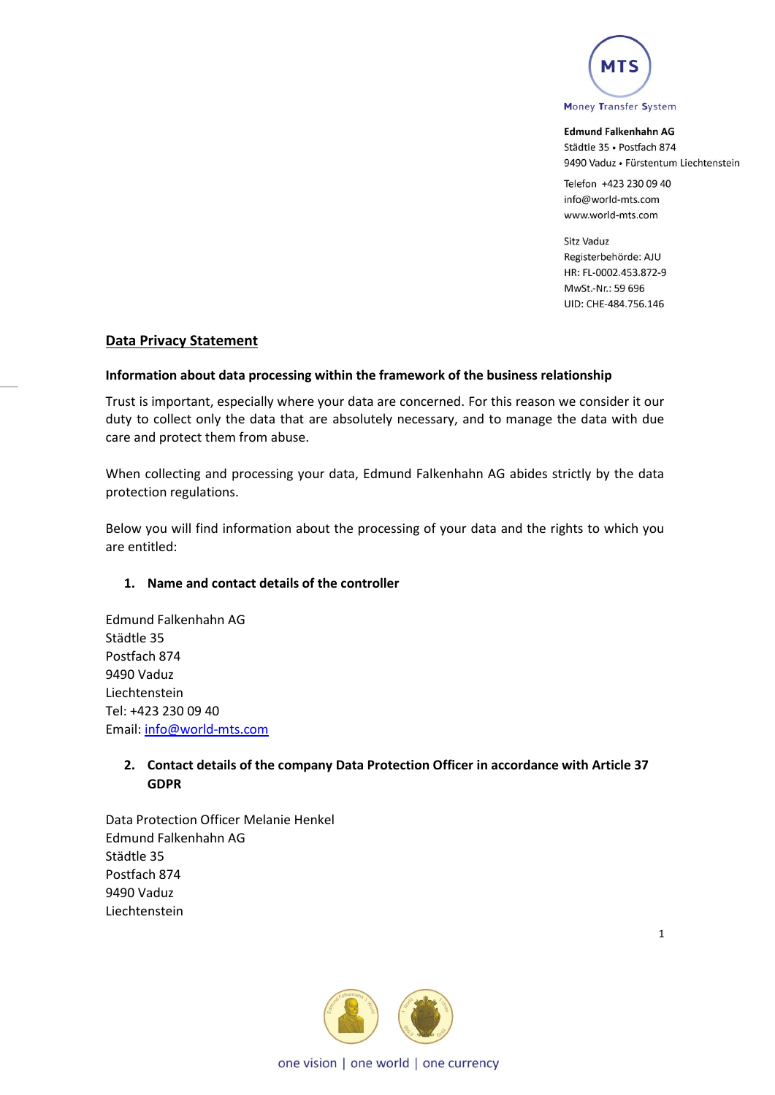

Telefon +423 230 09 40 info@world-mts.com www.world-mts.com

Sitz Vaduz Registerbehörde: AJU HR: FL-0002.453.872-9 MwSt.-Nr.: 59 696 UID: CHE-484.756.146

## **Data Privacy Statement**

#### **Information about data processing within the framework of the business relationship**

Trust is important, especially where your data are concerned. For this reason we consider it our duty to collect only the data that are absolutely necessary, and to manage the data with due care and protect them from abuse.

When collecting and processing your data, Edmund Falkenhahn AG abides strictly by the data protection regulations.

Below you will find information about the processing of your data and the rights to which you are entitled:

#### **1. Name and contact details of the controller**

Edmund Falkenhahn AG Städtle 35 Postfach 874 9490 Vaduz Liechtenstein Tel: +423 230 09 40 Email: [info@world-mts.com](mailto:info@world-mts.com)

# **2. Contact details of the company Data Protection Officer in accordance with Article 37 GDPR**

Data Protection Officer Melanie Henkel Edmund Falkenhahn AG Städtle 35 Postfach 874 9490 Vaduz Liechtenstein



1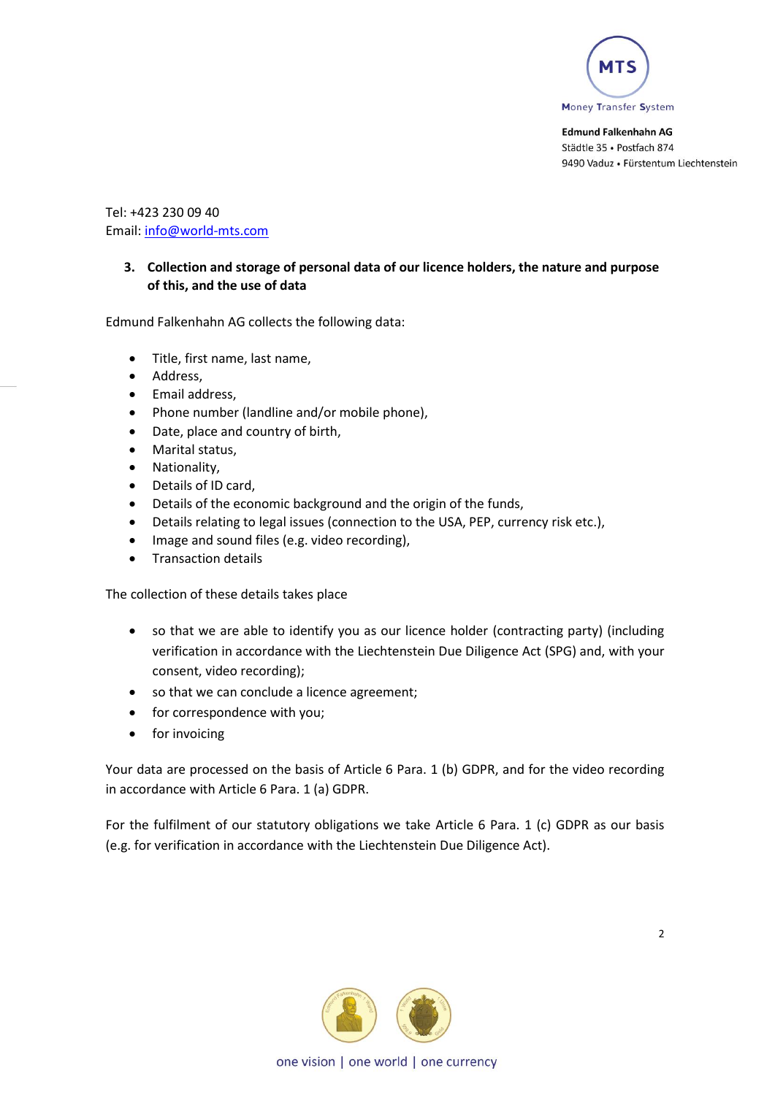

Tel: +423 230 09 40 Email: [info@world-mts.com](mailto:info@world-mts.com)

## **3. Collection and storage of personal data of our licence holders, the nature and purpose of this, and the use of data**

Edmund Falkenhahn AG collects the following data:

- Title, first name, last name,
- Address,
- Email address,
- Phone number (landline and/or mobile phone),
- Date, place and country of birth,
- Marital status,
- Nationality,
- Details of ID card,
- Details of the economic background and the origin of the funds,
- Details relating to legal issues (connection to the USA, PEP, currency risk etc.),
- Image and sound files (e.g. video recording),
- Transaction details

The collection of these details takes place

- so that we are able to identify you as our licence holder (contracting party) (including verification in accordance with the Liechtenstein Due Diligence Act (SPG) and, with your consent, video recording);
- so that we can conclude a licence agreement;
- for correspondence with you;
- for invoicing

Your data are processed on the basis of Article 6 Para. 1 (b) GDPR, and for the video recording in accordance with Article 6 Para. 1 (a) GDPR.

For the fulfilment of our statutory obligations we take Article 6 Para. 1 (c) GDPR as our basis (e.g. for verification in accordance with the Liechtenstein Due Diligence Act).

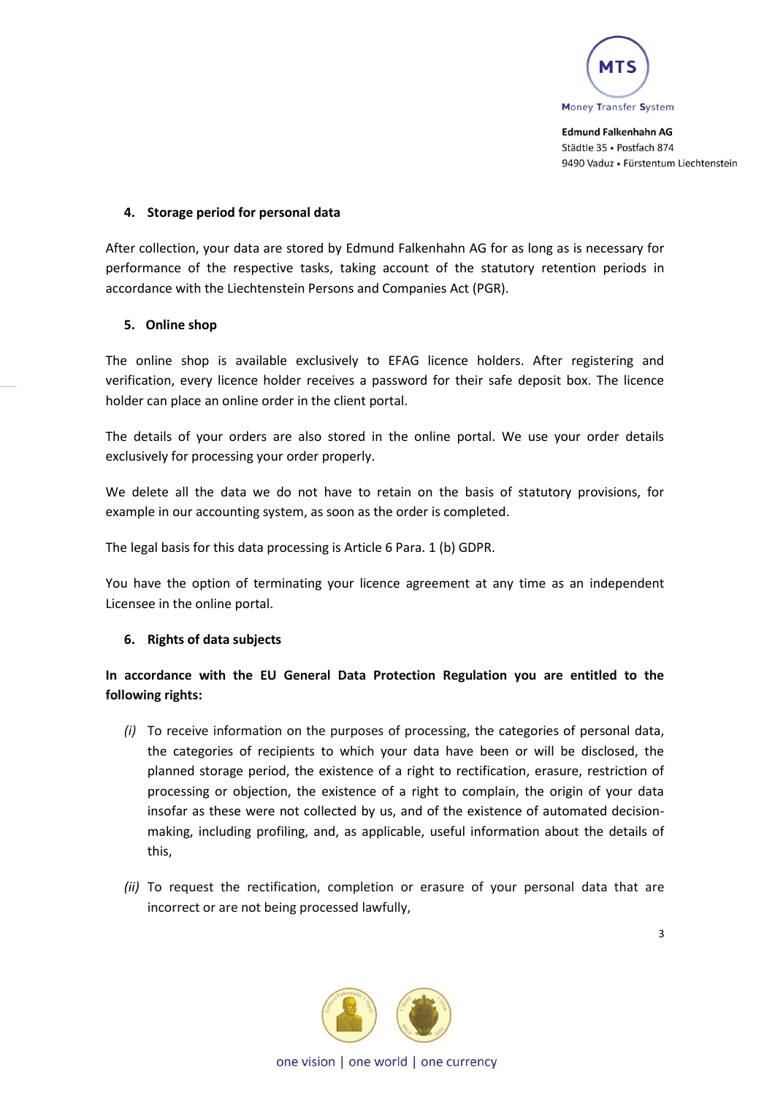

## **4. Storage period for personal data**

After collection, your data are stored by Edmund Falkenhahn AG for as long as is necessary for performance of the respective tasks, taking account of the statutory retention periods in accordance with the Liechtenstein Persons and Companies Act (PGR).

## **5. Online shop**

The online shop is available exclusively to EFAG licence holders. After registering and verification, every licence holder receives a password for their safe deposit box. The licence holder can place an online order in the client portal.

The details of your orders are also stored in the online portal. We use your order details exclusively for processing your order properly.

We delete all the data we do not have to retain on the basis of statutory provisions, for example in our accounting system, as soon as the order is completed.

The legal basis for this data processing is Article 6 Para. 1 (b) GDPR.

You have the option of terminating your licence agreement at any time as an independent Licensee in the online portal.

# **6. Rights of data subjects**

# **In accordance with the EU General Data Protection Regulation you are entitled to the following rights:**

- *(i)* To receive information on the purposes of processing, the categories of personal data, the categories of recipients to which your data have been or will be disclosed, the planned storage period, the existence of a right to rectification, erasure, restriction of processing or objection, the existence of a right to complain, the origin of your data insofar as these were not collected by us, and of the existence of automated decisionmaking, including profiling, and, as applicable, useful information about the details of this,
- *(ii)* To request the rectification, completion or erasure of your personal data that are incorrect or are not being processed lawfully,